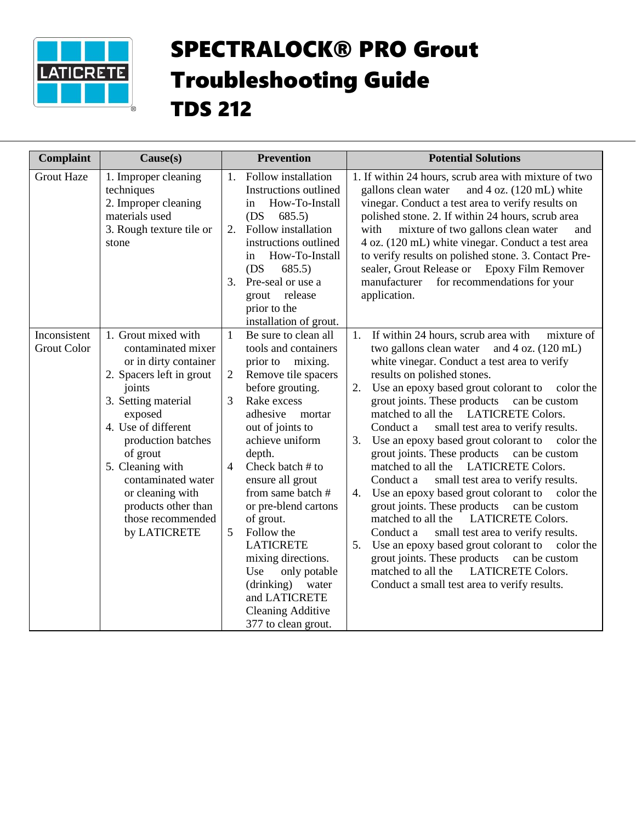

## SPECTRALOCK® PRO Grout Troubleshooting Guide TDS 212

| <b>Complaint</b>                   | Cause(s)                                                                                                                                                                                                                                                                                                                      |                                                      | <b>Prevention</b>                                                                                                                                                                                                                                                                                                                                                                                                                               |                            | <b>Potential Solutions</b>                                                                                                                                                                                                                                                                                                                                                                                                                                                                                                                                                                                                                                                                                                                                                                                                                                                                                                                                                        |
|------------------------------------|-------------------------------------------------------------------------------------------------------------------------------------------------------------------------------------------------------------------------------------------------------------------------------------------------------------------------------|------------------------------------------------------|-------------------------------------------------------------------------------------------------------------------------------------------------------------------------------------------------------------------------------------------------------------------------------------------------------------------------------------------------------------------------------------------------------------------------------------------------|----------------------------|-----------------------------------------------------------------------------------------------------------------------------------------------------------------------------------------------------------------------------------------------------------------------------------------------------------------------------------------------------------------------------------------------------------------------------------------------------------------------------------------------------------------------------------------------------------------------------------------------------------------------------------------------------------------------------------------------------------------------------------------------------------------------------------------------------------------------------------------------------------------------------------------------------------------------------------------------------------------------------------|
| <b>Grout Haze</b>                  | 1. Improper cleaning<br>techniques<br>2. Improper cleaning<br>materials used<br>3. Rough texture tile or<br>stone                                                                                                                                                                                                             | in<br>(DS)<br>in<br>(DS)<br>3.<br>grout              | 1. Follow installation<br>Instructions outlined<br>How-To-Install<br>685.5)<br>2. Follow installation<br>instructions outlined<br>How-To-Install<br>685.5<br>Pre-seal or use a<br>release<br>prior to the<br>installation of grout.                                                                                                                                                                                                             |                            | 1. If within 24 hours, scrub area with mixture of two<br>gallons clean water<br>and $4$ oz. $(120 \text{ mL})$ white<br>vinegar. Conduct a test area to verify results on<br>polished stone. 2. If within 24 hours, scrub area<br>with mixture of two gallons clean water<br>and<br>4 oz. (120 mL) white vinegar. Conduct a test area<br>to verify results on polished stone. 3. Contact Pre-<br>sealer, Grout Release or Epoxy Film Remover<br>manufacturer<br>for recommendations for your<br>application.                                                                                                                                                                                                                                                                                                                                                                                                                                                                      |
| Inconsistent<br><b>Grout Color</b> | 1. Grout mixed with<br>contaminated mixer<br>or in dirty container<br>2. Spacers left in grout<br>joints<br>3. Setting material<br>exposed<br>4. Use of different<br>production batches<br>of grout<br>5. Cleaning with<br>contaminated water<br>or cleaning with<br>products other than<br>those recommended<br>by LATICRETE | $\mathbf{1}$<br>2<br>3<br>$\overline{4}$<br>5<br>Use | Be sure to clean all<br>tools and containers<br>prior to mixing.<br>Remove tile spacers<br>before grouting.<br>Rake excess<br>adhesive<br>mortar<br>out of joints to<br>achieve uniform<br>depth.<br>Check batch # to<br>ensure all grout<br>from same batch #<br>or pre-blend cartons<br>of grout.<br>Follow the<br><b>LATICRETE</b><br>mixing directions.<br>only potable<br>(drinking)<br>water<br>and LATICRETE<br><b>Cleaning Additive</b> | 1.<br>2.<br>3.<br>4.<br>5. | If within 24 hours, scrub area with<br>mixture of<br>two gallons clean water and 4 oz. (120 mL)<br>white vinegar. Conduct a test area to verify<br>results on polished stones.<br>Use an epoxy based grout colorant to<br>color the<br>grout joints. These products<br>can be custom<br>matched to all the LATICRETE Colors.<br>Conduct a<br>small test area to verify results.<br>Use an epoxy based grout colorant to color the<br>grout joints. These products can be custom<br>matched to all the LATICRETE Colors.<br>Conduct a<br>small test area to verify results.<br>Use an epoxy based grout colorant to color the<br>grout joints. These products can be custom<br><b>LATICRETE Colors.</b><br>matched to all the<br>small test area to verify results.<br>Conduct a<br>Use an epoxy based grout colorant to color the<br>grout joints. These products can be custom<br><b>LATICRETE Colors.</b><br>matched to all the<br>Conduct a small test area to verify results. |